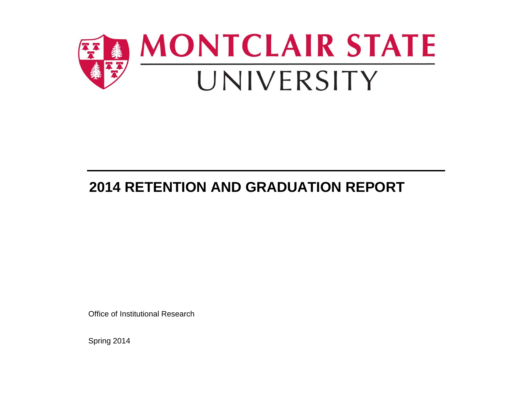

# **2014 RETENTION AND GRADUATION REPORT**

Office of Institutional Research

Spring 2014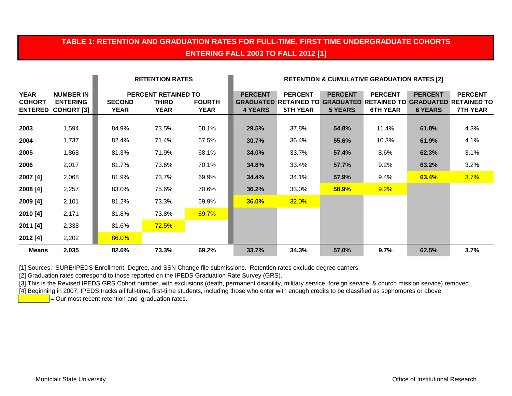#### **TABLE 1: RETENTION AND GRADUATION RATES FOR FULL-TIME, FIRST TIME UNDERGRADUATE COHORTS ENTERING FALL 2003 TO FALL 2012 [1]**

|                              |                                                                  |                              | <b>RETENTION RATES</b>                             |                              |                                  | <b>RETENTION &amp; CUMULATIVE GRADUATION RATES [2]</b> |                                  |                                   |                                  |                                                                                                               |  |  |
|------------------------------|------------------------------------------------------------------|------------------------------|----------------------------------------------------|------------------------------|----------------------------------|--------------------------------------------------------|----------------------------------|-----------------------------------|----------------------------------|---------------------------------------------------------------------------------------------------------------|--|--|
| <b>YEAR</b><br><b>COHORT</b> | <b>NUMBER IN</b><br><b>ENTERING</b><br><b>ENTERED COHORT [3]</b> | <b>SECOND</b><br><b>YEAR</b> | <b>PERCENT RETAINED TO</b><br>THIRD<br><b>YEAR</b> | <b>FOURTH</b><br><b>YEAR</b> | <b>PERCENT</b><br><b>4 YEARS</b> | <b>PERCENT</b><br><b>5TH YEAR</b>                      | <b>PERCENT</b><br><b>5 YEARS</b> | <b>PERCENT</b><br><b>6TH YEAR</b> | <b>PERCENT</b><br><b>6 YEARS</b> | <b>PERCENT</b><br><b>GRADUATED RETAINED TO GRADUATED RETAINED TO GRADUATED RETAINED TO</b><br><b>7TH YEAR</b> |  |  |
| 2003                         | 1,594                                                            | 84.9%                        | 73.5%                                              | 68.1%                        | 29.5%                            | 37.8%                                                  | 54.8%                            | 11.4%                             | 61.8%                            | 4.3%                                                                                                          |  |  |
| 2004                         | 1,737                                                            | 82.4%                        | 71.4%                                              | 67.5%                        | 30.7%                            | 36.4%                                                  | 55.6%                            | 10.3%                             | 61.9%                            | 4.1%                                                                                                          |  |  |
| 2005                         | 1,868                                                            | 81.3%                        | 71.9%                                              | 68.1%                        | <b>34.0%</b>                     | 33.7%                                                  | 57.4%                            | 8.6%                              | 62.3%                            | 3.1%                                                                                                          |  |  |
| 2006                         | 2,017                                                            | 81.7%                        | 73.6%                                              | 70.1%                        | 34.8%                            | 33.4%                                                  | 57.7%                            | 9.2%                              | 63.2%                            | 3.2%                                                                                                          |  |  |
| 2007 [4]                     | 2,068                                                            | 81.9%                        | 73.7%                                              | 69.9%                        | 34.4%                            | 34.1%                                                  | 57.9%                            | 9.4%                              | 63.4%                            | 3.7%                                                                                                          |  |  |
| 2008 [4]                     | 2,257                                                            | 83.0%                        | 75.6%                                              | 70.6%                        | 36.2%                            | 33.0%                                                  | 58.9%                            | 9.2%                              |                                  |                                                                                                               |  |  |
| 2009 [4]                     | 2,101                                                            | 81.2%                        | 73.3%                                              | 69.9%                        | <b>36.0%</b>                     | 32.0%                                                  |                                  |                                   |                                  |                                                                                                               |  |  |
| 2010 [4]                     | 2,171                                                            | 81.8%                        | 73.8%                                              | 69.7%                        |                                  |                                                        |                                  |                                   |                                  |                                                                                                               |  |  |
| 2011 [4]                     | 2,338                                                            | 81.6%                        | 72.5%                                              |                              |                                  |                                                        |                                  |                                   |                                  |                                                                                                               |  |  |
| 2012 [4]                     | 2,202                                                            | 86.0%                        |                                                    |                              |                                  |                                                        |                                  |                                   |                                  |                                                                                                               |  |  |
| <b>Means</b>                 | 2,035                                                            | 82.6%                        | 73.3%                                              | 69.2%                        | 33.7%                            | 34.3%                                                  | 57.0%                            | 9.7%                              | 62.5%                            | 3.7%                                                                                                          |  |  |

[1] Sources: SURE/IPEDS Enrollment, Degree, and SSN Change file submissions. Retention rates exclude degree earners.

[2] Graduation rates correspond to those reported on the IPEDS Graduation Rate Survey (GRS).

[3] This is the Revised IPEDS GRS Cohort number, with exclusions (death, permanent disability, military service, foreign service, & church mission service) removed.

[4] Beginning in 2007, IPEDS tracks all full-time, first-time students, including those who enter with enough credits to be classified as sophomores or above.

 $\overline{P}$  = Our most recent retention and graduation rates.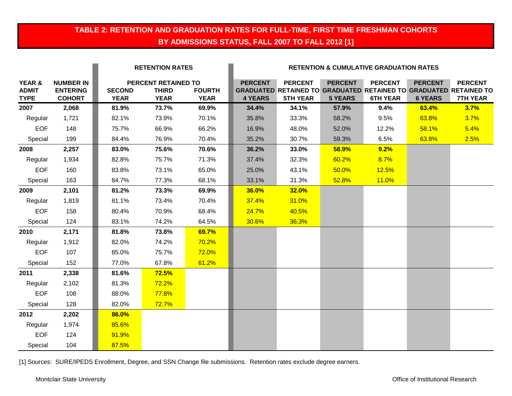#### **TABLE 2: RETENTION AND GRADUATION RATES FOR FULL-TIME, FIRST TIME FRESHMAN COHORTS BY ADMISSIONS STATUS, FALL 2007 TO FALL 2012 [1]**

|                                       |                                                      | <b>RETENTION RATES</b>       |                                                    |                              | <b>RETENTION &amp; CUMULATIVE GRADUATION RATES</b> |                                   |                                  |                                   |                                  |                                                                                                               |  |
|---------------------------------------|------------------------------------------------------|------------------------------|----------------------------------------------------|------------------------------|----------------------------------------------------|-----------------------------------|----------------------------------|-----------------------------------|----------------------------------|---------------------------------------------------------------------------------------------------------------|--|
| YEAR &<br><b>ADMIT</b><br><b>TYPE</b> | <b>NUMBER IN</b><br><b>ENTERING</b><br><b>COHORT</b> | <b>SECOND</b><br><b>YEAR</b> | PERCENT RETAINED TO<br><b>THIRD</b><br><b>YEAR</b> | <b>FOURTH</b><br><b>YEAR</b> | <b>PERCENT</b><br><b>4 YEARS</b>                   | <b>PERCENT</b><br><b>5TH YEAR</b> | <b>PERCENT</b><br><b>5 YEARS</b> | <b>PERCENT</b><br><b>6TH YEAR</b> | <b>PERCENT</b><br><b>6 YEARS</b> | <b>PERCENT</b><br><b>GRADUATED RETAINED TO GRADUATED RETAINED TO GRADUATED RETAINED TO</b><br><b>7TH YEAR</b> |  |
| 2007                                  | 2,068                                                | 81.9%                        | 73.7%                                              | 69.9%                        | 34.4%                                              | 34.1%                             | 57.9%                            | 9.4%                              | 63.4%                            | 3.7%                                                                                                          |  |
| Regular                               | 1,721                                                | 82.1%                        | 73.9%                                              | 70.1%                        | 35.8%                                              | 33.3%                             | 58.2%                            | 9.5%                              | 63.8%                            | 3.7%                                                                                                          |  |
| <b>EOF</b>                            | 148                                                  | 75.7%                        | 66.9%                                              | 66.2%                        | 16.9%                                              | 48.0%                             | 52.0%                            | 12.2%                             | 58.1%                            | 5.4%                                                                                                          |  |
| Special                               | 199                                                  | 84.4%                        | 76.9%                                              | 70.4%                        | 35.2%                                              | 30.7%                             | 59.3%                            | 6.5%                              | 63.8%                            | 2.5%                                                                                                          |  |
| 2008                                  | 2,257                                                | 83.0%                        | 75.6%                                              | 70.6%                        | 36.2%                                              | 33.0%                             | 58.9%                            | 9.2%                              |                                  |                                                                                                               |  |
| Regular                               | 1,934                                                | 82.8%                        | 75.7%                                              | 71.3%                        | 37.4%                                              | 32.3%                             | 60.2%                            | 8.7%                              |                                  |                                                                                                               |  |
| <b>EOF</b>                            | 160                                                  | 83.8%                        | 73.1%                                              | 65.0%                        | 25.0%                                              | 43.1%                             | 50.0%                            | 12.5%                             |                                  |                                                                                                               |  |
| Special                               | 163                                                  | 84.7%                        | 77.3%                                              | 68.1%                        | 33.1%                                              | 31.3%                             | 52.8%                            | 11.0%                             |                                  |                                                                                                               |  |
| 2009                                  | 2,101                                                | 81.2%                        | 73.3%                                              | 69.9%                        | 36.0%                                              | <b>32.0%</b>                      |                                  |                                   |                                  |                                                                                                               |  |
| Regular                               | 1,819                                                | 81.1%                        | 73.4%                                              | 70.4%                        | 37.4%                                              | 31.0%                             |                                  |                                   |                                  |                                                                                                               |  |
| <b>EOF</b>                            | 158                                                  | 80.4%                        | 70.9%                                              | 68.4%                        | 24.7%                                              | 40.5%                             |                                  |                                   |                                  |                                                                                                               |  |
| Special                               | 124                                                  | 83.1%                        | 74.2%                                              | 64.5%                        | 30.6%                                              | 36.3%                             |                                  |                                   |                                  |                                                                                                               |  |
| 2010                                  | 2,171                                                | 81.8%                        | 73.8%                                              | 69.7%                        |                                                    |                                   |                                  |                                   |                                  |                                                                                                               |  |
| Regular                               | 1,912                                                | 82.0%                        | 74.2%                                              | 70.2%                        |                                                    |                                   |                                  |                                   |                                  |                                                                                                               |  |
| <b>EOF</b>                            | 107                                                  | 85.0%                        | 75.7%                                              | 72.0%                        |                                                    |                                   |                                  |                                   |                                  |                                                                                                               |  |
| Special                               | 152                                                  | 77.0%                        | 67.8%                                              | 61.2%                        |                                                    |                                   |                                  |                                   |                                  |                                                                                                               |  |
| 2011                                  | 2,338                                                | 81.6%                        | <b>72.5%</b>                                       |                              |                                                    |                                   |                                  |                                   |                                  |                                                                                                               |  |
| Regular                               | 2,102                                                | 81.3%                        | 72.2%                                              |                              |                                                    |                                   |                                  |                                   |                                  |                                                                                                               |  |
| <b>EOF</b>                            | 108                                                  | 88.0%                        | 77.8%                                              |                              |                                                    |                                   |                                  |                                   |                                  |                                                                                                               |  |
| Special                               | 128                                                  | 82.0%                        | 72.7%                                              |                              |                                                    |                                   |                                  |                                   |                                  |                                                                                                               |  |
| 2012                                  | 2,202                                                | 86.0%                        |                                                    |                              |                                                    |                                   |                                  |                                   |                                  |                                                                                                               |  |
| Regular                               | 1,974                                                | 85.6%                        |                                                    |                              |                                                    |                                   |                                  |                                   |                                  |                                                                                                               |  |
| <b>EOF</b>                            | 124                                                  | 91.9%                        |                                                    |                              |                                                    |                                   |                                  |                                   |                                  |                                                                                                               |  |
| Special                               | 104                                                  | 87.5%                        |                                                    |                              |                                                    |                                   |                                  |                                   |                                  |                                                                                                               |  |

[1] Sources: SURE/IPEDS Enrollment, Degree, and SSN Change file submissions. Retention rates exclude degree earners.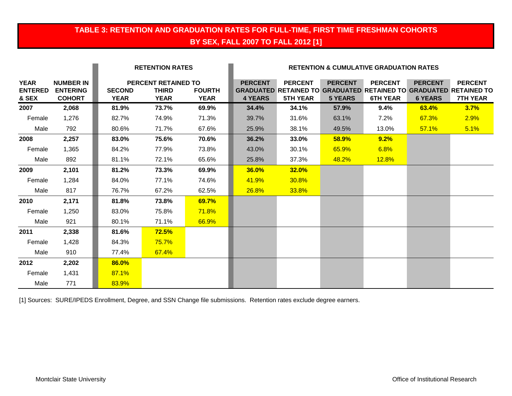## **TABLE 3: RETENTION AND GRADUATION RATES FOR FULL-TIME, FIRST TIME FRESHMAN COHORTS BY SEX, FALL 2007 TO FALL 2012 [1]**

|                                        |                                                      |                              | <b>RETENTION RATES</b>                                    |                              |                                  | <b>RETENTION &amp; CUMULATIVE GRADUATION RATES</b>                                                            |                                  |                                   |                                  |                                   |  |
|----------------------------------------|------------------------------------------------------|------------------------------|-----------------------------------------------------------|------------------------------|----------------------------------|---------------------------------------------------------------------------------------------------------------|----------------------------------|-----------------------------------|----------------------------------|-----------------------------------|--|
| <b>YEAR</b><br><b>ENTERED</b><br>& SEX | <b>NUMBER IN</b><br><b>ENTERING</b><br><b>COHORT</b> | <b>SECOND</b><br><b>YEAR</b> | <b>PERCENT RETAINED TO</b><br><b>THIRD</b><br><b>YEAR</b> | <b>FOURTH</b><br><b>YEAR</b> | <b>PERCENT</b><br><b>4 YEARS</b> | <b>PERCENT</b><br><b>GRADUATED RETAINED TO GRADUATED RETAINED TO GRADUATED RETAINED TO</b><br><b>5TH YEAR</b> | <b>PERCENT</b><br><b>5 YEARS</b> | <b>PERCENT</b><br><b>6TH YEAR</b> | <b>PERCENT</b><br><b>6 YEARS</b> | <b>PERCENT</b><br><b>7TH YEAR</b> |  |
| 2007                                   | 2,068                                                | 81.9%                        | 73.7%                                                     | 69.9%                        | 34.4%                            | 34.1%                                                                                                         | 57.9%                            | 9.4%                              | 63.4%                            | 3.7%                              |  |
| Female                                 | 1,276                                                | 82.7%                        | 74.9%                                                     | 71.3%                        | 39.7%                            | 31.6%                                                                                                         | 63.1%                            | 7.2%                              | 67.3%                            | 2.9%                              |  |
| Male                                   | 792                                                  | 80.6%                        | 71.7%                                                     | 67.6%                        | 25.9%                            | 38.1%                                                                                                         | 49.5%                            | 13.0%                             | 57.1%                            | 5.1%                              |  |
| 2008                                   | 2,257                                                | 83.0%                        | 75.6%                                                     | 70.6%                        | 36.2%                            | 33.0%                                                                                                         | 58.9%                            | 9.2%                              |                                  |                                   |  |
| Female                                 | 1,365                                                | 84.2%                        | 77.9%                                                     | 73.8%                        | 43.0%                            | 30.1%                                                                                                         | 65.9%                            | 6.8%                              |                                  |                                   |  |
| Male                                   | 892                                                  | 81.1%                        | 72.1%                                                     | 65.6%                        | 25.8%                            | 37.3%                                                                                                         | 48.2%                            | 12.8%                             |                                  |                                   |  |
| 2009                                   | 2,101                                                | 81.2%                        | 73.3%                                                     | 69.9%                        | 36.0%                            | 32.0%                                                                                                         |                                  |                                   |                                  |                                   |  |
| Female                                 | 1,284                                                | 84.0%                        | 77.1%                                                     | 74.6%                        | 41.9%                            | 30.8%                                                                                                         |                                  |                                   |                                  |                                   |  |
| Male                                   | 817                                                  | 76.7%                        | 67.2%                                                     | 62.5%                        | <b>26.8%</b>                     | 33.8%                                                                                                         |                                  |                                   |                                  |                                   |  |
| 2010                                   | 2,171                                                | 81.8%                        | 73.8%                                                     | 69.7%                        |                                  |                                                                                                               |                                  |                                   |                                  |                                   |  |
| Female                                 | 1,250                                                | 83.0%                        | 75.8%                                                     | <b>71.8%</b>                 |                                  |                                                                                                               |                                  |                                   |                                  |                                   |  |
| Male                                   | 921                                                  | 80.1%                        | 71.1%                                                     | 66.9%                        |                                  |                                                                                                               |                                  |                                   |                                  |                                   |  |
| 2011                                   | 2,338                                                | 81.6%                        | 72.5%                                                     |                              |                                  |                                                                                                               |                                  |                                   |                                  |                                   |  |
| Female                                 | 1,428                                                | 84.3%                        | 75.7%                                                     |                              |                                  |                                                                                                               |                                  |                                   |                                  |                                   |  |
| Male                                   | 910                                                  | 77.4%                        | 67.4%                                                     |                              |                                  |                                                                                                               |                                  |                                   |                                  |                                   |  |
| 2012                                   | 2,202                                                | 86.0%                        |                                                           |                              |                                  |                                                                                                               |                                  |                                   |                                  |                                   |  |
| Female                                 | 1,431                                                | 87.1%                        |                                                           |                              |                                  |                                                                                                               |                                  |                                   |                                  |                                   |  |
| Male                                   | 771                                                  | 83.9%                        |                                                           |                              |                                  |                                                                                                               |                                  |                                   |                                  |                                   |  |

[1] Sources: SURE/IPEDS Enrollment, Degree, and SSN Change file submissions. Retention rates exclude degree earners.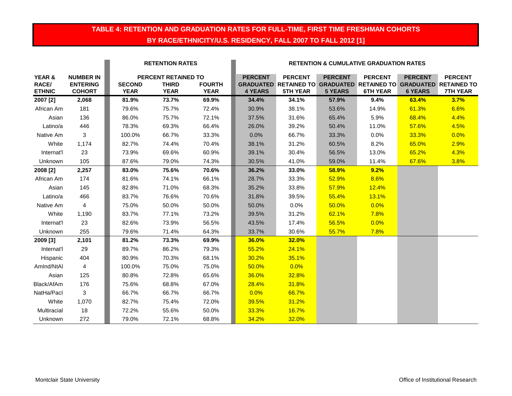#### **TABLE 4: RETENTION AND GRADUATION RATES FOR FULL-TIME, FIRST TIME FRESHMAN COHORTS BY RACE/ETHNICITY/U.S. RESIDENCY, FALL 2007 TO FALL 2012 [1]**

|                                  |                                                      |                              | <b>RETENTION RATES</b>                             |                              |                                  | <b>RETENTION &amp; CUMULATIVE GRADUATION RATES</b>                                                     |                                  |                                   |                                  |                                   |  |  |
|----------------------------------|------------------------------------------------------|------------------------------|----------------------------------------------------|------------------------------|----------------------------------|--------------------------------------------------------------------------------------------------------|----------------------------------|-----------------------------------|----------------------------------|-----------------------------------|--|--|
| YEAR &<br>RACE/<br><b>ETHNIC</b> | <b>NUMBER IN</b><br><b>ENTERING</b><br><b>COHORT</b> | <b>SECOND</b><br><b>YEAR</b> | PERCENT RETAINED TO<br><b>THIRD</b><br><b>YEAR</b> | <b>FOURTH</b><br><b>YEAR</b> | <b>PERCENT</b><br><b>4 YEARS</b> | <b>PERCENT</b><br>GRADUATED RETAINED TO GRADUATED RETAINED TO GRADUATED RETAINED TO<br><b>5TH YEAR</b> | <b>PERCENT</b><br><b>5 YEARS</b> | <b>PERCENT</b><br><b>6TH YEAR</b> | <b>PERCENT</b><br><b>6 YEARS</b> | <b>PERCENT</b><br><b>7TH YEAR</b> |  |  |
| 2007 [2]                         | 2,068                                                | 81.9%                        | 73.7%                                              | 69.9%                        | 34.4%                            | 34.1%                                                                                                  | 57.9%                            | 9.4%                              | 63.4%                            | 3.7%                              |  |  |
| African Am                       | 181                                                  | 79.6%                        | 75.7%                                              | 72.4%                        | 30.9%                            | 38.1%                                                                                                  | 53.6%                            | 14.9%                             | 61.3%                            | 6.6%                              |  |  |
| Asian                            | 136                                                  | 86.0%                        | 75.7%                                              | 72.1%                        | 37.5%                            | 31.6%                                                                                                  | 65.4%                            | 5.9%                              | 68.4%                            | 4.4%                              |  |  |
| Latino/a                         | 446                                                  | 78.3%                        | 69.3%                                              | 66.4%                        | 26.0%                            | 39.2%                                                                                                  | 50.4%                            | 11.0%                             | 57.6%                            | 4.5%                              |  |  |
| Native Am                        | 3                                                    | 100.0%                       | 66.7%                                              | 33.3%                        | 0.0%                             | 66.7%                                                                                                  | 33.3%                            | $0.0\%$                           | 33.3%                            | 0.0%                              |  |  |
| White                            | 1,174                                                | 82.7%                        | 74.4%                                              | 70.4%                        | 38.1%                            | 31.2%                                                                                                  | 60.5%                            | 8.2%                              | 65.0%                            | 2.9%                              |  |  |
| Internat'l                       | 23                                                   | 73.9%                        | 69.6%                                              | 60.9%                        | 39.1%                            | 30.4%                                                                                                  | 56.5%                            | 13.0%                             | 65.2%                            | 4.3%                              |  |  |
| Unknown                          | 105                                                  | 87.6%                        | 79.0%                                              | 74.3%                        | 30.5%                            | 41.0%                                                                                                  | 59.0%                            | 11.4%                             | 67.6%                            | 3.8%                              |  |  |
| 2008 [2]                         | 2,257                                                | 83.0%                        | 75.6%                                              | 70.6%                        | 36.2%                            | 33.0%                                                                                                  | 58.9%                            | 9.2%                              |                                  |                                   |  |  |
| African Am                       | 174                                                  | 81.6%                        | 74.1%                                              | 66.1%                        | 28.7%                            | 33.3%                                                                                                  | 52.9%                            | 8.6%                              |                                  |                                   |  |  |
| Asian                            | 145                                                  | 82.8%                        | 71.0%                                              | 68.3%                        | 35.2%                            | 33.8%                                                                                                  | 57.9%                            | 12.4%                             |                                  |                                   |  |  |
| Latino/a                         | 466                                                  | 83.7%                        | 76.6%                                              | 70.6%                        | 31.8%                            | 39.5%                                                                                                  | 55.4%                            | 13.1%                             |                                  |                                   |  |  |
| Native Am                        | 4                                                    | 75.0%                        | 50.0%                                              | 50.0%                        | 50.0%                            | $0.0\%$                                                                                                | 50.0%                            | 0.0%                              |                                  |                                   |  |  |
| White                            | 1,190                                                | 83.7%                        | 77.1%                                              | 73.2%                        | 39.5%                            | 31.2%                                                                                                  | 62.1%                            | 7.8%                              |                                  |                                   |  |  |
| Internat'l                       | 23                                                   | 82.6%                        | 73.9%                                              | 56.5%                        | 43.5%                            | 17.4%                                                                                                  | 56.5%                            | 0.0%                              |                                  |                                   |  |  |
| Unknown                          | 255                                                  | 79.6%                        | 71.4%                                              | 64.3%                        | 33.7%                            | 30.6%                                                                                                  | 55.7%                            | 7.8%                              |                                  |                                   |  |  |
| 2009 [3]                         | 2,101                                                | 81.2%                        | 73.3%                                              | 69.9%                        | 36.0%                            | 32.0%                                                                                                  |                                  |                                   |                                  |                                   |  |  |
| Internat'l                       | 29                                                   | 89.7%                        | 86.2%                                              | 79.3%                        | 55.2%                            | 24.1%                                                                                                  |                                  |                                   |                                  |                                   |  |  |
| Hispanic                         | 404                                                  | 80.9%                        | 70.3%                                              | 68.1%                        | 30.2%                            | 35.1%                                                                                                  |                                  |                                   |                                  |                                   |  |  |
| Amlnd/NtAl                       | $\overline{4}$                                       | 100.0%                       | 75.0%                                              | 75.0%                        | 50.0%                            | 0.0%                                                                                                   |                                  |                                   |                                  |                                   |  |  |
| Asian                            | 125                                                  | 80.8%                        | 72.8%                                              | 65.6%                        | 36.0%                            | 32.8%                                                                                                  |                                  |                                   |                                  |                                   |  |  |
| Black/AfAm                       | 176                                                  | 75.6%                        | 68.8%                                              | 67.0%                        | 28.4%                            | 31.8%                                                                                                  |                                  |                                   |                                  |                                   |  |  |
| NatHa/Pacl                       | 3                                                    | 66.7%                        | 66.7%                                              | 66.7%                        | 0.0%                             | 66.7%                                                                                                  |                                  |                                   |                                  |                                   |  |  |
| White                            | 1,070                                                | 82.7%                        | 75.4%                                              | 72.0%                        | 39.5%                            | 31.2%                                                                                                  |                                  |                                   |                                  |                                   |  |  |
| Multiracial                      | 18                                                   | 72.2%                        | 55.6%                                              | 50.0%                        | 33.3%                            | <b>16.7%</b>                                                                                           |                                  |                                   |                                  |                                   |  |  |
| Unknown                          | 272                                                  | 79.0%                        | 72.1%                                              | 68.8%                        | 34.2%                            | 32.0%                                                                                                  |                                  |                                   |                                  |                                   |  |  |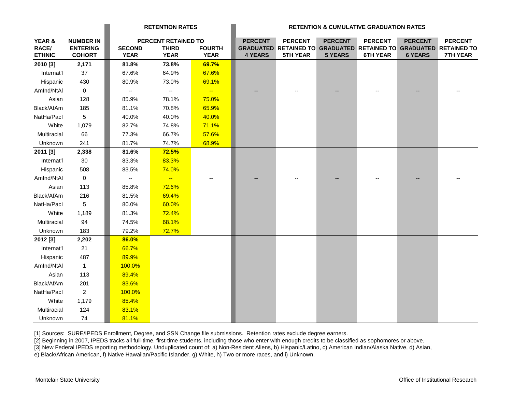|                 |                                     | <b>RETENTION RATES</b> |                                     |                          | <b>RETENTION &amp; CUMULATIVE GRADUATION RATES</b> |                                                                                     |                |                 |                |                 |
|-----------------|-------------------------------------|------------------------|-------------------------------------|--------------------------|----------------------------------------------------|-------------------------------------------------------------------------------------|----------------|-----------------|----------------|-----------------|
| YEAR &<br>RACE/ | <b>NUMBER IN</b><br><b>ENTERING</b> | <b>SECOND</b>          | PERCENT RETAINED TO<br><b>THIRD</b> | <b>FOURTH</b>            | <b>PERCENT</b>                                     | <b>PERCENT</b><br>GRADUATED RETAINED TO GRADUATED RETAINED TO GRADUATED RETAINED TO | <b>PERCENT</b> | <b>PERCENT</b>  | <b>PERCENT</b> | <b>PERCENT</b>  |
| <b>ETHNIC</b>   | <b>COHORT</b>                       | <b>YEAR</b>            | <b>YEAR</b>                         | <b>YEAR</b>              | <b>4 YEARS</b>                                     | <b>5TH YEAR</b>                                                                     | <b>5 YEARS</b> | <b>6TH YEAR</b> | <b>6 YEARS</b> | <b>7TH YEAR</b> |
| 2010 [3]        | 2,171                               | 81.8%                  | 73.8%                               | 69.7%                    |                                                    |                                                                                     |                |                 |                |                 |
| Internat'l      | 37                                  | 67.6%                  | 64.9%                               | 67.6%                    |                                                    |                                                                                     |                |                 |                |                 |
| Hispanic        | 430                                 | 80.9%                  | 73.0%                               | 69.1%                    |                                                    |                                                                                     |                |                 |                |                 |
| AmInd/NtAI      | $\mathbf 0$                         | --                     | $\overline{\phantom{a}}$            | $\overline{\phantom{a}}$ |                                                    |                                                                                     |                |                 |                |                 |
| Asian           | 128                                 | 85.9%                  | 78.1%                               | 75.0%                    |                                                    |                                                                                     |                |                 |                |                 |
| Black/AfAm      | 185                                 | 81.1%                  | 70.8%                               | 65.9%                    |                                                    |                                                                                     |                |                 |                |                 |
| NatHa/Pacl      | 5                                   | 40.0%                  | 40.0%                               | 40.0%                    |                                                    |                                                                                     |                |                 |                |                 |
| White           | 1,079                               | 82.7%                  | 74.8%                               | 71.1%                    |                                                    |                                                                                     |                |                 |                |                 |
| Multiracial     | 66                                  | 77.3%                  | 66.7%                               | 57.6%                    |                                                    |                                                                                     |                |                 |                |                 |
| Unknown         | 241                                 | 81.7%                  | 74.7%                               | 68.9%                    |                                                    |                                                                                     |                |                 |                |                 |
| 2011 [3]        | 2,338                               | 81.6%                  | <b>72.5%</b>                        |                          |                                                    |                                                                                     |                |                 |                |                 |
| Internat'l      | 30                                  | 83.3%                  | 83.3%                               |                          |                                                    |                                                                                     |                |                 |                |                 |
| Hispanic        | 508                                 | 83.5%                  | 74.0%                               |                          |                                                    |                                                                                     |                |                 |                |                 |
| AmInd/NtAI      | $\mathsf 0$                         | ۰.                     | $\rightarrow$                       |                          |                                                    |                                                                                     |                |                 |                |                 |
| Asian           | 113                                 | 85.8%                  | 72.6%                               |                          |                                                    |                                                                                     |                |                 |                |                 |
| Black/AfAm      | 216                                 | 81.5%                  | 69.4%                               |                          |                                                    |                                                                                     |                |                 |                |                 |
| NatHa/Pacl      | 5                                   | 80.0%                  | 60.0%                               |                          |                                                    |                                                                                     |                |                 |                |                 |
| White           | 1,189                               | 81.3%                  | 72.4%                               |                          |                                                    |                                                                                     |                |                 |                |                 |
| Multiracial     | 94                                  | 74.5%                  | 68.1%                               |                          |                                                    |                                                                                     |                |                 |                |                 |
| Unknown         | 183                                 | 79.2%                  | 72.7%                               |                          |                                                    |                                                                                     |                |                 |                |                 |
| 2012 [3]        | 2,202                               | 86.0%                  |                                     |                          |                                                    |                                                                                     |                |                 |                |                 |
| Internat'l      | 21                                  | 66.7%                  |                                     |                          |                                                    |                                                                                     |                |                 |                |                 |
| Hispanic        | 487                                 | 89.9%                  |                                     |                          |                                                    |                                                                                     |                |                 |                |                 |
| AmInd/NtAl      | $\overline{1}$                      | 100.0%                 |                                     |                          |                                                    |                                                                                     |                |                 |                |                 |
| Asian           | 113                                 | 89.4%                  |                                     |                          |                                                    |                                                                                     |                |                 |                |                 |
| Black/AfAm      | 201                                 | 83.6%                  |                                     |                          |                                                    |                                                                                     |                |                 |                |                 |
| NatHa/Pacl      | $\overline{2}$                      | 100.0%                 |                                     |                          |                                                    |                                                                                     |                |                 |                |                 |
| White           | 1,179                               | 85.4%                  |                                     |                          |                                                    |                                                                                     |                |                 |                |                 |
| Multiracial     | 124                                 | 83.1%                  |                                     |                          |                                                    |                                                                                     |                |                 |                |                 |
| Unknown         | 74                                  | 81.1%                  |                                     |                          |                                                    |                                                                                     |                |                 |                |                 |

[1] Sources: SURE/IPEDS Enrollment, Degree, and SSN Change file submissions. Retention rates exclude degree earners.

[2] Beginning in 2007, IPEDS tracks all full-time, first-time students, including those who enter with enough credits to be classified as sophomores or above.

[3] New Federal IPEDS reporting methodology. Unduplicated count of: a) Non-Resident Aliens, b) Hispanic/Latino, c) American Indian/Alaska Native, d) Asian,

e) Black/African American, f) Native Hawaiian/Pacific Islander, g) White, h) Two or more races, and i) Unknown.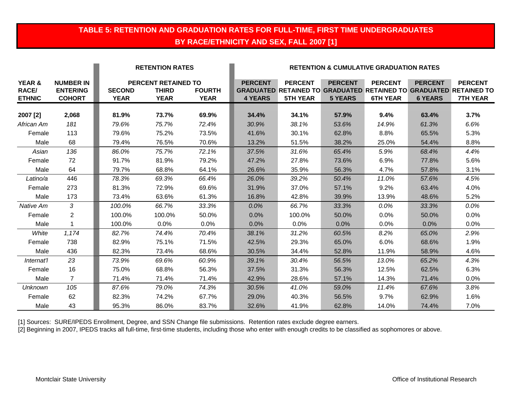### **TABLE 5: RETENTION AND GRADUATION RATES FOR FULL-TIME, FIRST TIME UNDERGRADUATES BY RACE/ETHNICITY AND SEX, FALL 2007 [1]**

|                                         |                                                      |                              | <b>RETENTION RATES</b>                                    |                              |                                  | <b>RETENTION &amp; CUMULATIVE GRADUATION RATES</b>                                                            |                                  |                                   |                                  |                                   |  |  |
|-----------------------------------------|------------------------------------------------------|------------------------------|-----------------------------------------------------------|------------------------------|----------------------------------|---------------------------------------------------------------------------------------------------------------|----------------------------------|-----------------------------------|----------------------------------|-----------------------------------|--|--|
| YEAR &<br><b>RACE/</b><br><b>ETHNIC</b> | <b>NUMBER IN</b><br><b>ENTERING</b><br><b>COHORT</b> | <b>SECOND</b><br><b>YEAR</b> | <b>PERCENT RETAINED TO</b><br><b>THIRD</b><br><b>YEAR</b> | <b>FOURTH</b><br><b>YEAR</b> | <b>PERCENT</b><br><b>4 YEARS</b> | <b>PERCENT</b><br><b>GRADUATED RETAINED TO GRADUATED RETAINED TO GRADUATED RETAINED TO</b><br><b>5TH YEAR</b> | <b>PERCENT</b><br><b>5 YEARS</b> | <b>PERCENT</b><br><b>6TH YEAR</b> | <b>PERCENT</b><br><b>6 YEARS</b> | <b>PERCENT</b><br><b>7TH YEAR</b> |  |  |
|                                         |                                                      |                              |                                                           |                              |                                  |                                                                                                               |                                  |                                   |                                  |                                   |  |  |
| 2007 [2]                                | 2,068                                                | 81.9%                        | 73.7%                                                     | 69.9%                        | 34.4%                            | 34.1%                                                                                                         | 57.9%                            | 9.4%                              | 63.4%                            | 3.7%                              |  |  |
| African Am                              | 181                                                  | 79.6%                        | 75.7%                                                     | 72.4%                        | 30.9%                            | 38.1%                                                                                                         | 53.6%                            | 14.9%                             | 61.3%                            | 6.6%                              |  |  |
| Female                                  | 113                                                  | 79.6%                        | 75.2%                                                     | 73.5%                        | 41.6%                            | 30.1%                                                                                                         | 62.8%                            | 8.8%                              | 65.5%                            | 5.3%                              |  |  |
| Male                                    | 68                                                   | 79.4%                        | 76.5%                                                     | 70.6%                        | 13.2%                            | 51.5%                                                                                                         | 38.2%                            | 25.0%                             | 54.4%                            | 8.8%                              |  |  |
| Asian                                   | 136                                                  | 86.0%                        | 75.7%                                                     | 72.1%                        | 37.5%                            | 31.6%                                                                                                         | 65.4%                            | 5.9%                              | 68.4%                            | 4.4%                              |  |  |
| Female                                  | 72                                                   | 91.7%                        | 81.9%                                                     | 79.2%                        | 47.2%                            | 27.8%                                                                                                         | 73.6%                            | 6.9%                              | 77.8%                            | 5.6%                              |  |  |
| Male                                    | 64                                                   | 79.7%                        | 68.8%                                                     | 64.1%                        | 26.6%                            | 35.9%                                                                                                         | 56.3%                            | 4.7%                              | 57.8%                            | 3.1%                              |  |  |
| Latino/a                                | 446                                                  | 78.3%                        | 69.3%                                                     | 66.4%                        | 26.0%                            | 39.2%                                                                                                         | 50.4%                            | 11.0%                             | 57.6%                            | 4.5%                              |  |  |
| Female                                  | 273                                                  | 81.3%                        | 72.9%                                                     | 69.6%                        | 31.9%                            | 37.0%                                                                                                         | 57.1%                            | 9.2%                              | 63.4%                            | 4.0%                              |  |  |
| Male                                    | 173                                                  | 73.4%                        | 63.6%                                                     | 61.3%                        | 16.8%                            | 42.8%                                                                                                         | 39.9%                            | 13.9%                             | 48.6%                            | 5.2%                              |  |  |
| Native Am                               | 3                                                    | 100.0%                       | 66.7%                                                     | 33.3%                        | $0.0\%$                          | 66.7%                                                                                                         | 33.3%                            | 0.0%                              | 33.3%                            | $0.0\%$                           |  |  |
| Female                                  | $\overline{2}$                                       | 100.0%                       | 100.0%                                                    | 50.0%                        | 0.0%                             | 100.0%                                                                                                        | 50.0%                            | 0.0%                              | 50.0%                            | 0.0%                              |  |  |
| Male                                    | 1                                                    | 100.0%                       | 0.0%                                                      | 0.0%                         | 0.0%                             | $0.0\%$                                                                                                       | 0.0%                             | 0.0%                              | 0.0%                             | 0.0%                              |  |  |
| White                                   | 1,174                                                | 82.7%                        | 74.4%                                                     | 70.4%                        | 38.1%                            | 31.2%                                                                                                         | 60.5%                            | 8.2%                              | 65.0%                            | 2.9%                              |  |  |
| Female                                  | 738                                                  | 82.9%                        | 75.1%                                                     | 71.5%                        | 42.5%                            | 29.3%                                                                                                         | 65.0%                            | 6.0%                              | 68.6%                            | 1.9%                              |  |  |
| Male                                    | 436                                                  | 82.3%                        | 73.4%                                                     | 68.6%                        | 30.5%                            | 34.4%                                                                                                         | 52.8%                            | 11.9%                             | 58.9%                            | 4.6%                              |  |  |
| Internat'l                              | 23                                                   | 73.9%                        | 69.6%                                                     | 60.9%                        | 39.1%                            | 30.4%                                                                                                         | 56.5%                            | 13.0%                             | 65.2%                            | 4.3%                              |  |  |
| Female                                  | 16                                                   | 75.0%                        | 68.8%                                                     | 56.3%                        | 37.5%                            | 31.3%                                                                                                         | 56.3%                            | 12.5%                             | 62.5%                            | 6.3%                              |  |  |
| Male                                    | 7                                                    | 71.4%                        | 71.4%                                                     | 71.4%                        | 42.9%                            | 28.6%                                                                                                         | 57.1%                            | 14.3%                             | 71.4%                            | 0.0%                              |  |  |
| Unknown                                 | 105                                                  | 87.6%                        | 79.0%                                                     | 74.3%                        | 30.5%                            | 41.0%                                                                                                         | 59.0%                            | 11.4%                             | 67.6%                            | 3.8%                              |  |  |
| Female                                  | 62                                                   | 82.3%                        | 74.2%                                                     | 67.7%                        | 29.0%                            | 40.3%                                                                                                         | 56.5%                            | 9.7%                              | 62.9%                            | 1.6%                              |  |  |
| Male                                    | 43                                                   | 95.3%                        | 86.0%                                                     | 83.7%                        | 32.6%                            | 41.9%                                                                                                         | 62.8%                            | 14.0%                             | 74.4%                            | 7.0%                              |  |  |

[1] Sources: SURE/IPEDS Enrollment, Degree, and SSN Change file submissions. Retention rates exclude degree earners.

[2] Beginning in 2007, IPEDS tracks all full-time, first-time students, including those who enter with enough credits to be classified as sophomores or above.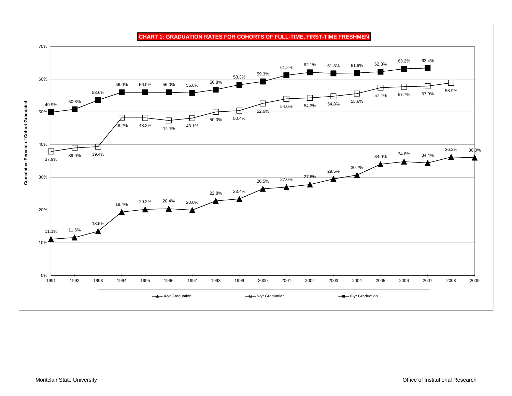

**CHART 1: GRADUATION RATES FOR COHORTS OF FULL-TIME, FIRST-TIME FRESHMEN**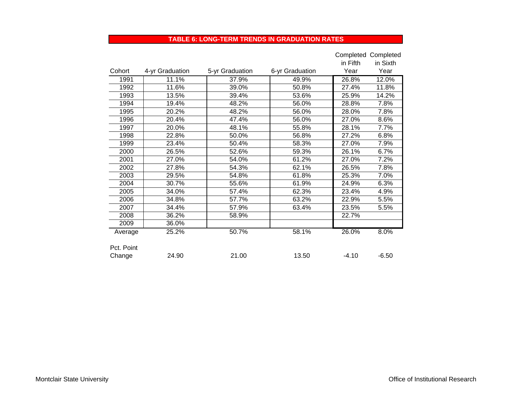#### **TABLE 6: LONG-TERM TRENDS IN GRADUATION RATES**

|            |                 |                 |                 |          | Completed Completed |
|------------|-----------------|-----------------|-----------------|----------|---------------------|
|            |                 |                 |                 | in Fifth | in Sixth            |
| Cohort     | 4-yr Graduation | 5-yr Graduation | 6-yr Graduation | Year     | Year                |
| 1991       | 11.1%           | 37.9%           | 49.9%           | 26.8%    | 12.0%               |
| 1992       | 11.6%           | 39.0%           | 50.8%           | 27.4%    | 11.8%               |
| 1993       | 13.5%           | 39.4%           | 53.6%           | 25.9%    | 14.2%               |
| 1994       | 19.4%           | 48.2%           | 56.0%           | 28.8%    | 7.8%                |
| 1995       | 20.2%           | 48.2%           | 56.0%           | 28.0%    | 7.8%                |
| 1996       | 20.4%           | 47.4%           | 56.0%           | 27.0%    | 8.6%                |
| 1997       | 20.0%           | 48.1%           | 55.8%           | 28.1%    | 7.7%                |
| 1998       | 22.8%           | 50.0%           | 56.8%           | 27.2%    | 6.8%                |
| 1999       | 23.4%           | 50.4%           | 58.3%           | 27.0%    | 7.9%                |
| 2000       | 26.5%           | 52.6%           | 59.3%           | 26.1%    | 6.7%                |
| 2001       | 27.0%           | 54.0%           | 61.2%           | 27.0%    | 7.2%                |
| 2002       | 27.8%           | 54.3%           | 62.1%           | 26.5%    | 7.8%                |
| 2003       | 29.5%           | 54.8%           | 61.8%           | 25.3%    | 7.0%                |
| 2004       | 30.7%           | 55.6%           | 61.9%           | 24.9%    | 6.3%                |
| 2005       | 34.0%           | 57.4%           | 62.3%           | 23.4%    | 4.9%                |
| 2006       | 34.8%           | 57.7%           | 63.2%           | 22.9%    | 5.5%                |
| 2007       | 34.4%           | 57.9%           | 63.4%           | 23.5%    | 5.5%                |
| 2008       | 36.2%           | 58.9%           |                 | 22.7%    |                     |
| 2009       | 36.0%           |                 |                 |          |                     |
| Average    | 25.2%           | 50.7%           | 58.1%           | 26.0%    | 8.0%                |
|            |                 |                 |                 |          |                     |
| Pct. Point |                 |                 |                 |          |                     |
| Change     | 24.90           | 21.00           | 13.50           | $-4.10$  | $-6.50$             |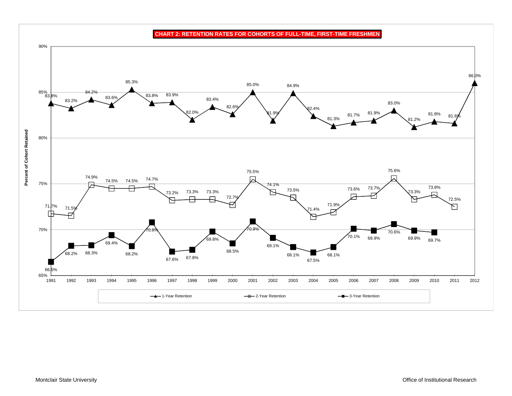**CHART 2: RETENTION RATES FOR COHORTS OF FULL-TIME, FIRST-TIME FRESHMEN**

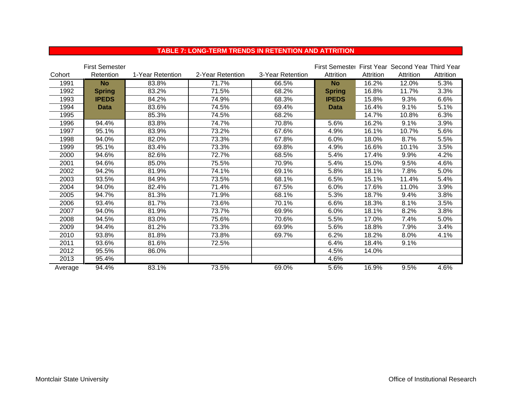|         | <b>First Semester</b> |                  |                  |                  | First Semester First Year Second Year Third Year |           |           |           |
|---------|-----------------------|------------------|------------------|------------------|--------------------------------------------------|-----------|-----------|-----------|
| Cohort  | Retention             | 1-Year Retention | 2-Year Retention | 3-Year Retention | Attrition                                        | Attrition | Attrition | Attrition |
| 1991    | <b>No</b>             | 83.8%            | 71.7%            | 66.5%            | <b>No</b>                                        | 16.2%     | 12.0%     | 5.3%      |
| 1992    | <b>Spring</b>         | 83.2%            | 71.5%            | 68.2%            | <b>Spring</b>                                    | 16.8%     | 11.7%     | 3.3%      |
| 1993    | <b>IPEDS</b>          | 84.2%            | 74.9%            | 68.3%            | <b>IPEDS</b>                                     | 15.8%     | 9.3%      | 6.6%      |
| 1994    | <b>Data</b>           | 83.6%            | 74.5%            | 69.4%            | <b>Data</b>                                      | 16.4%     | 9.1%      | 5.1%      |
| 1995    |                       | 85.3%            | 74.5%            | 68.2%            |                                                  | 14.7%     | 10.8%     | 6.3%      |
| 1996    | 94.4%                 | 83.8%            | 74.7%            | 70.8%            | 5.6%                                             | 16.2%     | 9.1%      | 3.9%      |
| 1997    | 95.1%                 | 83.9%            | 73.2%            | 67.6%            | 4.9%                                             | 16.1%     | 10.7%     | 5.6%      |
| 1998    | 94.0%                 | 82.0%            | 73.3%            | 67.8%            | 6.0%                                             | 18.0%     | 8.7%      | 5.5%      |
| 1999    | 95.1%                 | 83.4%            | 73.3%            | 69.8%            | 4.9%                                             | 16.6%     | 10.1%     | 3.5%      |
| 2000    | 94.6%                 | 82.6%            | 72.7%            | 68.5%            | 5.4%                                             | 17.4%     | 9.9%      | 4.2%      |
| 2001    | 94.6%                 | 85.0%            | 75.5%            | 70.9%            | 5.4%                                             | 15.0%     | 9.5%      | 4.6%      |
| 2002    | 94.2%                 | 81.9%            | 74.1%            | 69.1%            | 5.8%                                             | 18.1%     | 7.8%      | 5.0%      |
| 2003    | 93.5%                 | 84.9%            | 73.5%            | 68.1%            | 6.5%                                             | 15.1%     | 11.4%     | 5.4%      |
| 2004    | 94.0%                 | 82.4%            | 71.4%            | 67.5%            | 6.0%                                             | 17.6%     | 11.0%     | 3.9%      |
| 2005    | 94.7%                 | 81.3%            | 71.9%            | 68.1%            | 5.3%                                             | 18.7%     | 9.4%      | 3.8%      |
| 2006    | 93.4%                 | 81.7%            | 73.6%            | 70.1%            | 6.6%                                             | 18.3%     | 8.1%      | 3.5%      |
| 2007    | 94.0%                 | 81.9%            | 73.7%            | 69.9%            | 6.0%                                             | 18.1%     | 8.2%      | 3.8%      |
| 2008    | 94.5%                 | 83.0%            | 75.6%            | 70.6%            | 5.5%                                             | 17.0%     | 7.4%      | 5.0%      |
| 2009    | 94.4%                 | 81.2%            | 73.3%            | 69.9%            | 5.6%                                             | 18.8%     | 7.9%      | 3.4%      |
| 2010    | 93.8%                 | 81.8%            | 73.8%            | 69.7%            | 6.2%                                             | 18.2%     | 8.0%      | 4.1%      |
| 2011    | 93.6%                 | 81.6%            | 72.5%            |                  | 6.4%                                             | 18.4%     | 9.1%      |           |
| 2012    | 95.5%                 | 86.0%            |                  |                  | 4.5%                                             | 14.0%     |           |           |
| 2013    | 95.4%                 |                  |                  |                  | 4.6%                                             |           |           |           |
| Average | 94.4%                 | 83.1%            | 73.5%            | 69.0%            | 5.6%                                             | 16.9%     | 9.5%      | 4.6%      |

#### **TABLE 7: LONG-TERM TRENDS IN RETENTION AND ATTRITION**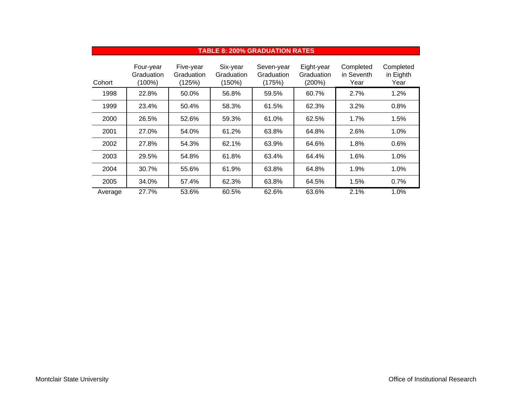|         | <b>TABLE 8: 200% GRADUATION RATES</b> |                                   |                                  |                                    |                                    |                                 |                                |  |  |
|---------|---------------------------------------|-----------------------------------|----------------------------------|------------------------------------|------------------------------------|---------------------------------|--------------------------------|--|--|
| Cohort  | Four-year<br>Graduation<br>$(100\%)$  | Five-year<br>Graduation<br>(125%) | Six-year<br>Graduation<br>(150%) | Seven-year<br>Graduation<br>(175%) | Eight-year<br>Graduation<br>(200%) | Completed<br>in Seventh<br>Year | Completed<br>in Eighth<br>Year |  |  |
| 1998    | 22.8%                                 | 50.0%                             | 56.8%                            | 59.5%                              | 60.7%                              | 2.7%                            | 1.2%                           |  |  |
| 1999    | 23.4%                                 | 50.4%                             | 58.3%                            | 61.5%                              | 62.3%                              | 3.2%                            | 0.8%                           |  |  |
| 2000    | 26.5%                                 | 52.6%                             | 59.3%                            | 61.0%                              | 62.5%                              | 1.7%                            | 1.5%                           |  |  |
| 2001    | 27.0%                                 | 54.0%                             | 61.2%                            | 63.8%                              | 64.8%                              | 2.6%                            | 1.0%                           |  |  |
| 2002    | 27.8%                                 | 54.3%                             | 62.1%                            | 63.9%                              | 64.6%                              | 1.8%                            | 0.6%                           |  |  |
| 2003    | 29.5%                                 | 54.8%                             | 61.8%                            | 63.4%                              | 64.4%                              | 1.6%                            | 1.0%                           |  |  |
| 2004    | 30.7%                                 | 55.6%                             | 61.9%                            | 63.8%                              | 64.8%                              | 1.9%                            | 1.0%                           |  |  |
| 2005    | 34.0%                                 | 57.4%                             | 62.3%                            | 63.8%                              | 64.5%                              | 1.5%                            | 0.7%                           |  |  |
| Average | 27.7%                                 | 53.6%                             | 60.5%                            | 62.6%                              | 63.6%                              | 2.1%                            | 1.0%                           |  |  |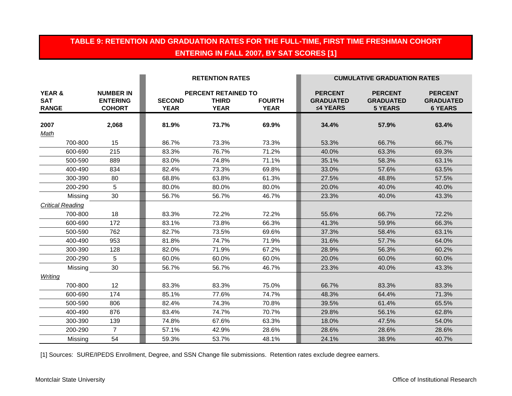## **TABLE 9: RETENTION AND GRADUATION RATES FOR THE FULL-TIME, FIRST TIME FRESHMAN COHORT ENTERING IN FALL 2007, BY SAT SCORES [1]**

|                                                 |                                                      | <b>RETENTION RATES</b>       |                                                           |                              | <b>CUMULATIVE GRADUATION RATES</b>             |                                                      |                                                      |  |
|-------------------------------------------------|------------------------------------------------------|------------------------------|-----------------------------------------------------------|------------------------------|------------------------------------------------|------------------------------------------------------|------------------------------------------------------|--|
| <b>YEAR &amp;</b><br><b>SAT</b><br><b>RANGE</b> | <b>NUMBER IN</b><br><b>ENTERING</b><br><b>COHORT</b> | <b>SECOND</b><br><b>YEAR</b> | <b>PERCENT RETAINED TO</b><br><b>THIRD</b><br><b>YEAR</b> | <b>FOURTH</b><br><b>YEAR</b> | <b>PERCENT</b><br><b>GRADUATED</b><br>≤4 YEARS | <b>PERCENT</b><br><b>GRADUATED</b><br><b>5 YEARS</b> | <b>PERCENT</b><br><b>GRADUATED</b><br><b>6 YEARS</b> |  |
| 2007<br>Math                                    | 2,068                                                | 81.9%                        | 73.7%                                                     | 69.9%                        | 34.4%                                          | 57.9%                                                | 63.4%                                                |  |
| 700-800                                         | 15                                                   | 86.7%                        | 73.3%                                                     | 73.3%                        | 53.3%                                          | 66.7%                                                | 66.7%                                                |  |
| 600-690                                         | 215                                                  | 83.3%                        | 76.7%                                                     | 71.2%                        | 40.0%                                          | 63.3%                                                | 69.3%                                                |  |
| 500-590                                         | 889                                                  | 83.0%                        | 74.8%                                                     | 71.1%                        | 35.1%                                          | 58.3%                                                | 63.1%                                                |  |
| 400-490                                         | 834                                                  | 82.4%                        | 73.3%                                                     | 69.8%                        | 33.0%                                          | 57.6%                                                | 63.5%                                                |  |
| 300-390                                         | 80                                                   | 68.8%                        | 63.8%                                                     | 61.3%                        | 27.5%                                          | 48.8%                                                | 57.5%                                                |  |
| 200-290                                         | 5                                                    | 80.0%                        | 80.0%                                                     | 80.0%                        | 20.0%                                          | 40.0%                                                | 40.0%                                                |  |
| Missing                                         | 30                                                   | 56.7%                        | 56.7%                                                     | 46.7%                        | 23.3%                                          | 40.0%                                                | 43.3%                                                |  |
| <b>Critical Reading</b>                         |                                                      |                              |                                                           |                              |                                                |                                                      |                                                      |  |
| 700-800                                         | 18                                                   | 83.3%                        | 72.2%                                                     | 72.2%                        | 55.6%                                          | 66.7%                                                | 72.2%                                                |  |
| 600-690                                         | 172                                                  | 83.1%                        | 73.8%                                                     | 66.3%                        | 41.3%                                          | 59.9%                                                | 66.3%                                                |  |
| 500-590                                         | 762                                                  | 82.7%                        | 73.5%                                                     | 69.6%                        | 37.3%                                          | 58.4%                                                | 63.1%                                                |  |
| 400-490                                         | 953                                                  | 81.8%                        | 74.7%                                                     | 71.9%                        | 31.6%                                          | 57.7%                                                | 64.0%                                                |  |
| 300-390                                         | 128                                                  | 82.0%                        | 71.9%                                                     | 67.2%                        | 28.9%                                          | 56.3%                                                | 60.2%                                                |  |
| 200-290                                         | 5                                                    | 60.0%                        | 60.0%                                                     | 60.0%                        | 20.0%                                          | 60.0%                                                | 60.0%                                                |  |
| Missing                                         | 30                                                   | 56.7%                        | 56.7%                                                     | 46.7%                        | 23.3%                                          | 40.0%                                                | 43.3%                                                |  |
| Writing                                         |                                                      |                              |                                                           |                              |                                                |                                                      |                                                      |  |
| 700-800                                         | 12                                                   | 83.3%                        | 83.3%                                                     | 75.0%                        | 66.7%                                          | 83.3%                                                | 83.3%                                                |  |
| 600-690                                         | 174                                                  | 85.1%                        | 77.6%                                                     | 74.7%                        | 48.3%                                          | 64.4%                                                | 71.3%                                                |  |
| 500-590                                         | 806                                                  | 82.4%                        | 74.3%                                                     | 70.8%                        | 39.5%                                          | 61.4%                                                | 65.5%                                                |  |
| 400-490                                         | 876                                                  | 83.4%                        | 74.7%                                                     | 70.7%                        | 29.8%                                          | 56.1%                                                | 62.8%                                                |  |
| 300-390                                         | 139                                                  | 74.8%                        | 67.6%                                                     | 63.3%                        | 18.0%                                          | 47.5%                                                | 54.0%                                                |  |
| 200-290                                         | $\overline{7}$                                       | 57.1%                        | 42.9%                                                     | 28.6%                        | 28.6%                                          | 28.6%                                                | 28.6%                                                |  |
| Missing                                         | 54                                                   | 59.3%                        | 53.7%                                                     | 48.1%                        | 24.1%                                          | 38.9%                                                | 40.7%                                                |  |

[1] Sources: SURE/IPEDS Enrollment, Degree, and SSN Change file submissions. Retention rates exclude degree earners.